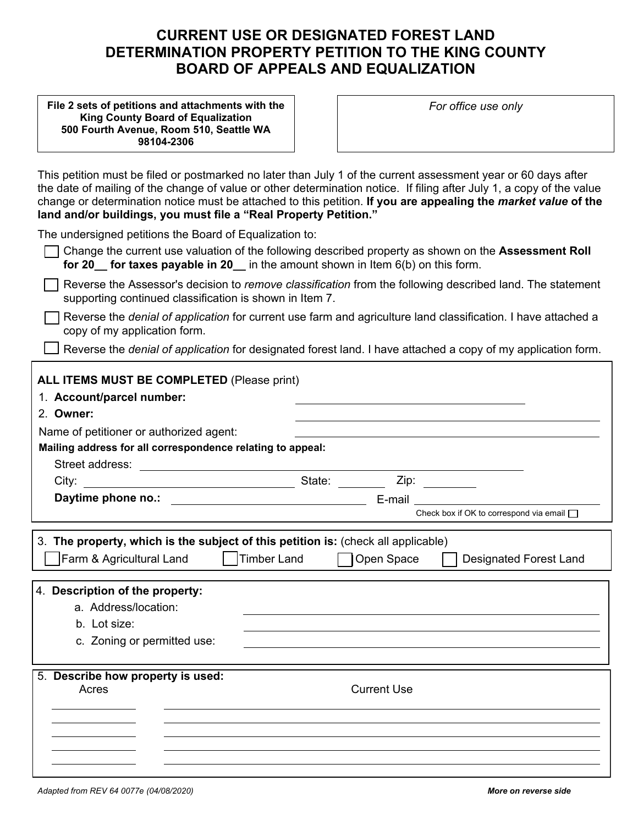# **CURRENT USE OR DESIGNATED FOREST LAND DETERMINATION PROPERTY PETITION TO THE KING COUNTY BOARD OF APPEALS AND EQUALIZATION**

**Mail petition and attachments to the King County Board of Equalization 500 Fourth Avenue, Room 510 Seattle, WA 98104-2306** 

*For office use only* 

| land and/or buildings, you must file a "Real Property Petition."                                                                                                                              | This petition must be filed or postmarked no later than July 1 of the current assessment year or 60 days after<br>the date of mailing of the change of value or other determination notice. If filing after July 1, a copy of the value<br>change or determination notice must be attached to this petition. If you are appealing the market value of the |
|-----------------------------------------------------------------------------------------------------------------------------------------------------------------------------------------------|-----------------------------------------------------------------------------------------------------------------------------------------------------------------------------------------------------------------------------------------------------------------------------------------------------------------------------------------------------------|
| The undersigned petitions the Board of Equalization to:                                                                                                                                       | Change the current use valuation of the following described property as shown on the Assessment Roll<br>for 20 for taxes payable in 20 in the amount shown in Item $6(b)$ on this form.                                                                                                                                                                   |
| supporting continued classification is shown in Item 7.                                                                                                                                       | Reverse the Assessor's decision to remove classification from the following described land. The statement                                                                                                                                                                                                                                                 |
| copy of my application form.                                                                                                                                                                  | Reverse the <i>denial of application</i> for current use farm and agriculture land classification. I have attached a                                                                                                                                                                                                                                      |
|                                                                                                                                                                                               | Reverse the denial of application for designated forest land. I have attached a copy of my application form.                                                                                                                                                                                                                                              |
| ALL ITEMS MUST BE COMPLETED (Please print)<br>1. Account/parcel number:<br>2. Owner:<br>Name of petitioner or authorized agent:<br>Mailing address for all correspondence relating to appeal: |                                                                                                                                                                                                                                                                                                                                                           |
|                                                                                                                                                                                               |                                                                                                                                                                                                                                                                                                                                                           |
|                                                                                                                                                                                               |                                                                                                                                                                                                                                                                                                                                                           |
|                                                                                                                                                                                               | Check box if OK to correspond via email $\Box$                                                                                                                                                                                                                                                                                                            |
| Farm & Agricultural Land                                                                                                                                                                      | 3. The property, which is the subject of this petition is: (check all applicable)<br><b>Timber Land</b><br>Open Space<br><b>Designated Forest Land</b>                                                                                                                                                                                                    |
| 4. Description of the property:<br>a. Address/location:<br>b. Lot size:<br>c. Zoning or permitted use:                                                                                        |                                                                                                                                                                                                                                                                                                                                                           |
| 5. Describe how property is used:<br>Acres                                                                                                                                                    | <b>Current Use</b>                                                                                                                                                                                                                                                                                                                                        |
|                                                                                                                                                                                               |                                                                                                                                                                                                                                                                                                                                                           |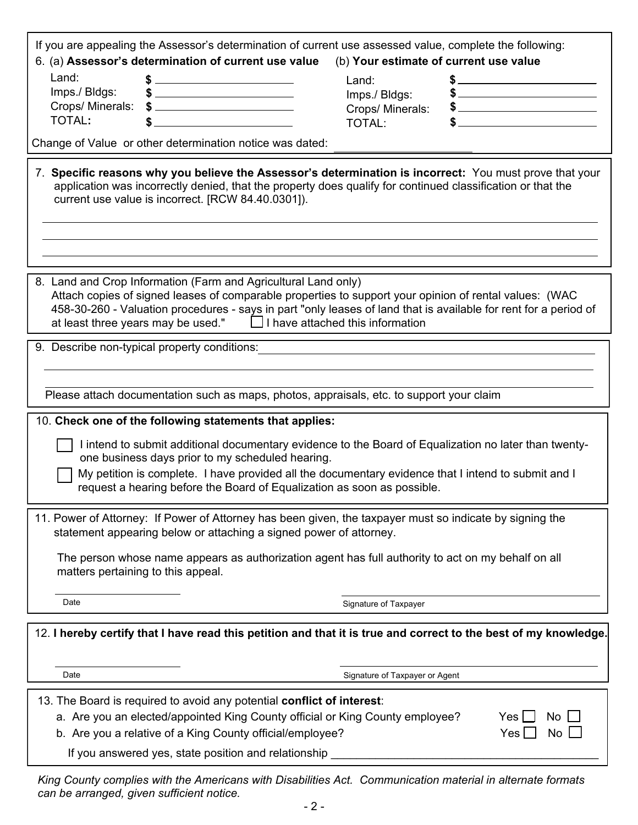|        | $\Box$ |  |                                           |  |
|--------|--------|--|-------------------------------------------|--|
|        |        |  |                                           |  |
| $\Box$ |        |  |                                           |  |
|        |        |  |                                           |  |
|        |        |  |                                           |  |
|        |        |  | $\begin{matrix} 1 \\ 0 \\ 0 \end{matrix}$ |  |